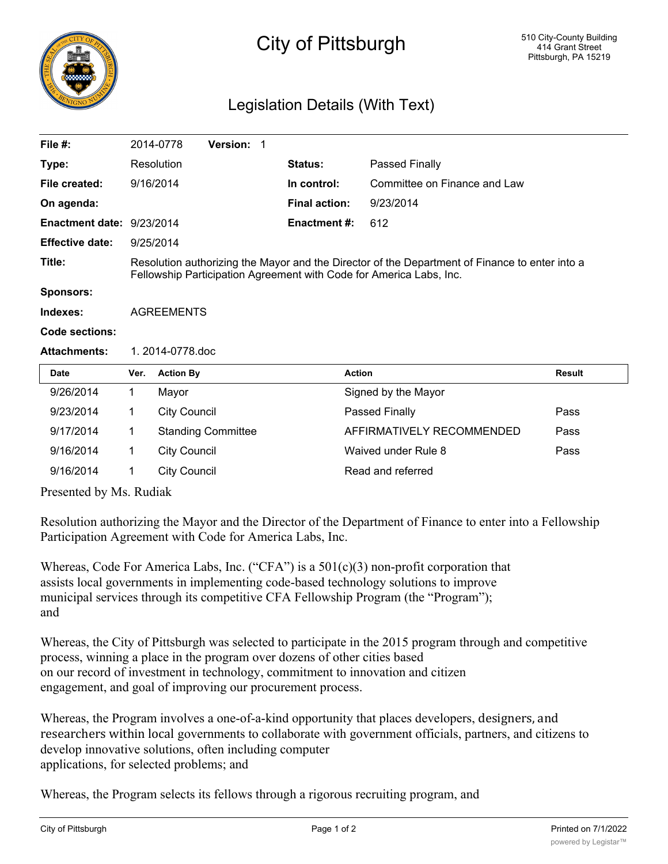

## City of Pittsburgh

## Legislation Details (With Text)

| File $#$ :                |                                                                                                                                                                       | 2014-0778           | Version: 1                |  |                      |                              |        |  |
|---------------------------|-----------------------------------------------------------------------------------------------------------------------------------------------------------------------|---------------------|---------------------------|--|----------------------|------------------------------|--------|--|
| Type:                     |                                                                                                                                                                       | Resolution          |                           |  | Status:              | Passed Finally               |        |  |
| File created:             |                                                                                                                                                                       | 9/16/2014           |                           |  | In control:          | Committee on Finance and Law |        |  |
| On agenda:                |                                                                                                                                                                       |                     |                           |  | <b>Final action:</b> | 9/23/2014                    |        |  |
| Enactment date: 9/23/2014 |                                                                                                                                                                       |                     |                           |  | <b>Enactment #:</b>  | 612                          |        |  |
| <b>Effective date:</b>    |                                                                                                                                                                       | 9/25/2014           |                           |  |                      |                              |        |  |
| Title:                    | Resolution authorizing the Mayor and the Director of the Department of Finance to enter into a<br>Fellowship Participation Agreement with Code for America Labs, Inc. |                     |                           |  |                      |                              |        |  |
| <b>Sponsors:</b>          |                                                                                                                                                                       |                     |                           |  |                      |                              |        |  |
| Indexes:                  | <b>AGREEMENTS</b>                                                                                                                                                     |                     |                           |  |                      |                              |        |  |
| Code sections:            |                                                                                                                                                                       |                     |                           |  |                      |                              |        |  |
| <b>Attachments:</b>       | 1.2014-0778.doc                                                                                                                                                       |                     |                           |  |                      |                              |        |  |
| Date                      | Ver.                                                                                                                                                                  | <b>Action By</b>    |                           |  |                      | <b>Action</b>                | Result |  |
| 9/26/2014                 | 1.                                                                                                                                                                    | Mayor               |                           |  |                      | Signed by the Mayor          |        |  |
| 9/23/2014                 | 1                                                                                                                                                                     | <b>City Council</b> |                           |  |                      | Passed Finally               | Pass   |  |
| 9/17/2014                 | 1                                                                                                                                                                     |                     | <b>Standing Committee</b> |  |                      | AFFIRMATIVELY RECOMMENDED    | Pass   |  |
| 9/16/2014                 | 1                                                                                                                                                                     | <b>City Council</b> |                           |  |                      | Waived under Rule 8          | Pass   |  |
| 9/16/2014                 | 1                                                                                                                                                                     | <b>City Council</b> |                           |  |                      | Read and referred            |        |  |
|                           | $\sim$ 11 $\sim$ $\sim$ 11                                                                                                                                            |                     |                           |  |                      |                              |        |  |

Presented by Ms. Rudiak

Resolution authorizing the Mayor and the Director of the Department of Finance to enter into a Fellowship Participation Agreement with Code for America Labs, Inc.

Whereas, Code For America Labs, Inc. ("CFA") is a 501(c)(3) non-profit corporation that assists local governments in implementing code-based technology solutions to improve municipal services through its competitive CFA Fellowship Program (the "Program"); and

Whereas, the City of Pittsburgh was selected to participate in the 2015 program through and competitive process, winning a place in the program over dozens of other cities based on our record of investment in technology, commitment to innovation and citizen engagement, and goal of improving our procurement process.

Whereas, the Program involves a one-of-a-kind opportunity that places developers, designers, and researchers within local governments to collaborate with government officials, partners, and citizens to develop innovative solutions, often including computer applications, for selected problems; and

Whereas, the Program selects its fellows through a rigorous recruiting program, and